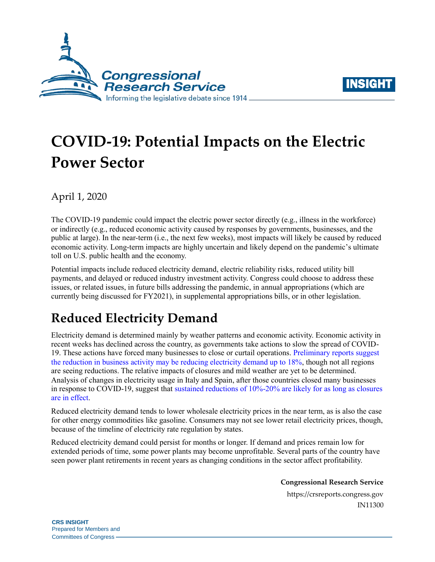



# **COVID-19: Potential Impacts on the Electric Power Sector**

April 1, 2020

The COVID-19 pandemic could impact the electric power sector directly (e.g., illness in the workforce) or indirectly (e.g., reduced economic activity caused by responses by governments, businesses, and the public at large). In the near-term (i.e., the next few weeks), most impacts will likely be caused by reduced economic activity. Long-term impacts are highly uncertain and likely depend on the pandemic's ultimate toll on U.S. public health and the economy.

Potential impacts include reduced electricity demand, electric reliability risks, reduced utility bill payments, and delayed or reduced industry investment activity. Congress could choose to address these issues, or related issues, in future bills addressing the pandemic, in annual appropriations (which are currently being discussed for FY2021), in supplemental appropriations bills, or in other legislation.

## **Reduced Electricity Demand**

Electricity demand is determined mainly by weather patterns and economic activity. Economic activity in recent weeks has declined across the country, as governments take actions to slow the spread of COVID-19. These actions have forced many businesses to close or curtail operations. [Preliminary reports](https://www.spglobal.com/platts/en/market-insights/latest-news/electric-power/032320-covid-19-related-load-impacts-are-being-reported-by-several-us-grid-operators) suggest the reduction in business activity [may be reducing electricity demand up to 18%,](https://www.spglobal.com/platts/en/market-insights/latest-news/electric-power/032320-covid-19-related-load-impacts-are-being-reported-by-several-us-grid-operators) though not all regions are seeing reductions. The relative impacts of closures and mild weather are yet to be determined. Analysis of changes in electricity usage in Italy and Spain, after those countries closed many businesses in response to COVID-19, suggest that [sustained reductions of 10%-20% are likely for as long as closures](http://mydocs.epri.com/docs/public/covid19/3002018602R2.pdf)  [are in effect.](http://mydocs.epri.com/docs/public/covid19/3002018602R2.pdf)

Reduced electricity demand tends to lower wholesale electricity prices in the near term, as is also the case for other energy commodities like gasoline. Consumers may not see lower retail electricity prices, though, because of the timeline of electricity rate regulation by states.

Reduced electricity demand could persist for months or longer. If demand and prices remain low for extended periods of time, some power plants may become unprofitable. Several parts of the country have seen power plant retirements in recent years as changing conditions in the sector affect profitability.

**Congressional Research Service**

https://crsreports.congress.gov IN11300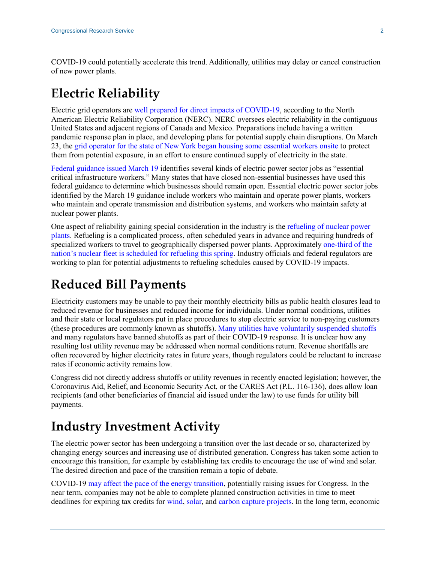COVID-19 could potentially accelerate this trend. Additionally, utilities may delay or cancel construction of new power plants.

## **Electric Reliability**

Electric grid operators are [well prepared for direct impacts of COVID-19,](https://www.nerc.com/news/Pages/Grid-Operators-Well-Prepared-for-COVID-19,-Alert-Responses-Find-.aspx) according to the North American Electric Reliability Corporation (NERC). NERC oversees electric reliability in the contiguous United States and adjacent regions of Canada and Mexico. Preparations include having a written pandemic response plan in place, and developing plans for potential supply chain disruptions. On March 23, th[e grid operator for the state of New York began housing](https://www.bloomberg.com/news/articles/2020-03-26/new-york-grid-operators-now-living-onsite-to-keep-power-flowing) some essential workers onsite to protect them from potential exposure, in an effort to ensure continued supply of electricity in the state.

[Federal guidance issued March 19](https://www.cisa.gov/publication/guidance-essential-critical-infrastructure-workforce) identifies several kinds of electric power sector jobs as "essential critical infrastructure workers." Many states that have closed non-essential businesses have used this federal guidance to determine which businesses should remain open. Essential electric power sector jobs identified by the March 19 guidance include workers who maintain and operate power plants, workers who maintain and operate transmission and distribution systems, and workers who maintain safety at nuclear power plants.

One aspect of reliability gaining special consideration in the industry is the [refueling of nuclear power](https://www.utilitydive.com/news/coronavirus-could-disrupt-normal-refueling-practices-for-nuclear-facilities/574920/)  [plants.](https://www.utilitydive.com/news/coronavirus-could-disrupt-normal-refueling-practices-for-nuclear-facilities/574920/) Refueling is a complicated process, often scheduled years in advance and requiring hundreds of specialized workers to travel to geographically dispersed power plants. Approximately [one-third of the](https://nei.org/CorporateSite/media/filefolder/resources/letters-filings-comments/letter-nei-secretary-brouillette-20200320.pdf)  [nation's nuclear fleet is scheduled for refueling](https://nei.org/CorporateSite/media/filefolder/resources/letters-filings-comments/letter-nei-secretary-brouillette-20200320.pdf) this spring. Industry officials and federal regulators are working to plan for potential adjustments to refueling schedules caused by COVID-19 impacts.

### **Reduced Bill Payments**

Electricity customers may be unable to pay their monthly electricity bills as public health closures lead to reduced revenue for businesses and reduced income for individuals. Under normal conditions, utilities and their state or local regulators put in place procedures to stop electric service to non-paying customers (these procedures are commonly known as shutoffs). [Many utilities have voluntarily suspended](https://www.utilitydive.com/news/duke-aep-dominion-among-utilities-to-halt-service-shutoffs-in-coronavirus/574171/) shutoffs and many regulators have banned shutoffs as part of their COVID-19 response. It is unclear how any resulting lost utility revenue may be addressed when normal conditions return. Revenue shortfalls are often recovered by higher electricity rates in future years, though regulators could be reluctant to increase rates if economic activity remains low.

Congress did not directly address shutoffs or utility revenues in recently enacted legislation; however, the Coronavirus Aid, Relief, and Economic Security Act, or the CARES Act [\(P.L. 116-136\)](http://www.congress.gov/cgi-lis/bdquery/R?d116:FLD002:@1(116+136)), does allow loan recipients (and other beneficiaries of financial aid issued under the law) to use funds for utility bill payments.

#### **Industry Investment Activity**

The electric power sector has been undergoing a transition over the last decade or so, characterized by changing energy sources and increasing use of distributed generation. Congress has taken some action to encourage this transition, for example by establishing tax credits to encourage the use of wind and solar. The desired direction and pace of the transition remain a topic of debate.

COVID-19 [may affect the pace of the energy transition,](https://www.greentechmedia.com/articles/read/for-clean-energy-industries-biggest-coronavirus-risk-may-be-a-damaged-economy) potentially raising issues for Congress. In the near term, companies may not be able to complete planned construction activities in time to meet deadlines for expiring tax credits for [wind,](https://crsreports.congress.gov/product/pdf/R/R43453) [solar,](https://crsreports.congress.gov/product/pdf/IF/IF10479) an[d carbon capture projects.](https://crsreports.congress.gov/product/pdf/IF/IF11455) In the long term, economic